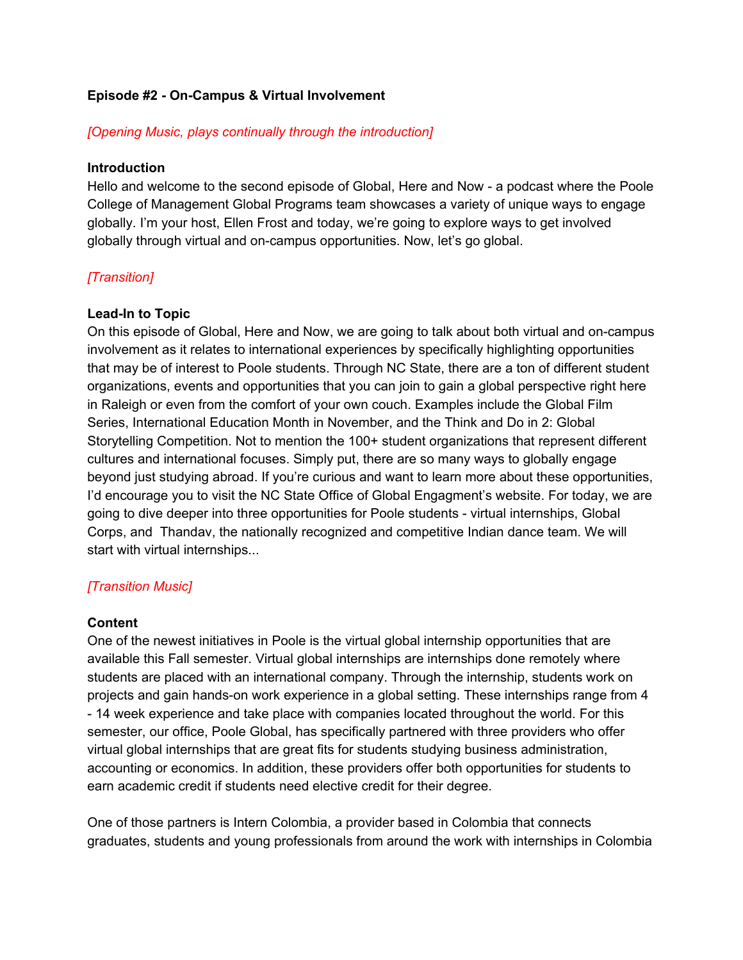# **Episode #2 - On-Campus & Virtual Involvement**

## *[Opening Music, plays continually through the introduction]*

### **Introduction**

Hello and welcome to the second episode of Global, Here and Now - a podcast where the Poole College of Management Global Programs team showcases a variety of unique ways to engage globally. I'm your host, Ellen Frost and today, we're going to explore ways to get involved globally through virtual and on-campus opportunities. Now, let's go global.

# *[Transition]*

## **Lead-In to Topic**

On this episode of Global, Here and Now, we are going to talk about both virtual and on-campus involvement as it relates to international experiences by specifically highlighting opportunities that may be of interest to Poole students. Through NC State, there are a ton of different student organizations, events and opportunities that you can join to gain a global perspective right here in Raleigh or even from the comfort of your own couch. Examples include the Global Film Series, International Education Month in November, and the Think and Do in 2: Global Storytelling Competition. Not to mention the 100+ student organizations that represent different cultures and international focuses. Simply put, there are so many ways to globally engage beyond just studying abroad. If you're curious and want to learn more about these opportunities, I'd encourage you to visit the NC State Office of Global Engagment's website. For today, we are going to dive deeper into three opportunities for Poole students - virtual internships, Global Corps, and Thandav, the nationally recognized and competitive Indian dance team. We will start with virtual internships...

## *[Transition Music]*

#### **Content**

One of the newest initiatives in Poole is the virtual global internship opportunities that are available this Fall semester. Virtual global internships are internships done remotely where students are placed with an international company. Through the internship, students work on projects and gain hands-on work experience in a global setting. These internships range from 4 - 14 week experience and take place with companies located throughout the world. For this semester, our office, Poole Global, has specifically partnered with three providers who offer virtual global internships that are great fits for students studying business administration, accounting or economics. In addition, these providers offer both opportunities for students to earn academic credit if students need elective credit for their degree.

One of those partners is Intern Colombia, a provider based in Colombia that connects graduates, students and young professionals from around the work with internships in Colombia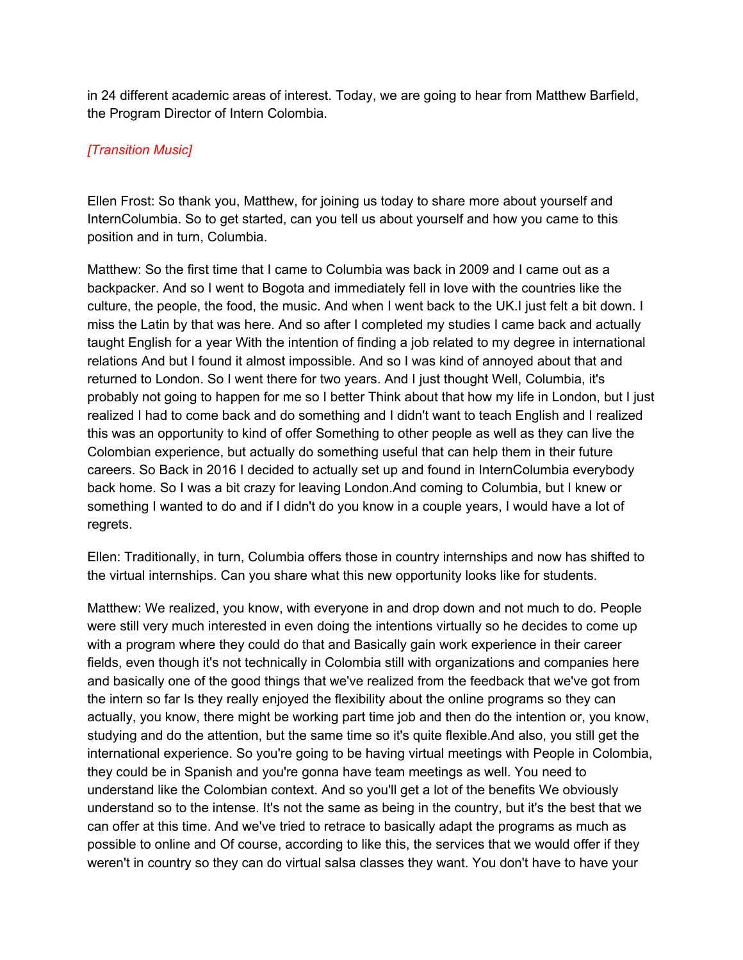in 24 different academic areas of interest. Today, we are going to hear from Matthew Barfield, the Program Director of Intern Colombia.

# *[Transition Music]*

Ellen Frost: So thank you, Matthew, for joining us today to share more about yourself and InternColumbia. So to get started, can you tell us about yourself and how you came to this position and in turn, Columbia.

Matthew: So the first time that I came to Columbia was back in 2009 and I came out as a backpacker. And so I went to Bogota and immediately fell in love with the countries like the culture, the people, the food, the music. And when I went back to the UK.I just felt a bit down. I miss the Latin by that was here. And so after I completed my studies I came back and actually taught English for a year With the intention of finding a job related to my degree in international relations And but I found it almost impossible. And so I was kind of annoyed about that and returned to London. So I went there for two years. And I just thought Well, Columbia, it's probably not going to happen for me so I better Think about that how my life in London, but I just realized I had to come back and do something and I didn't want to teach English and I realized this was an opportunity to kind of offer Something to other people as well as they can live the Colombian experience, but actually do something useful that can help them in their future careers. So Back in 2016 I decided to actually set up and found in InternColumbia everybody back home. So I was a bit crazy for leaving London.And coming to Columbia, but I knew or something I wanted to do and if I didn't do you know in a couple years, I would have a lot of regrets.

Ellen: Traditionally, in turn, Columbia offers those in country internships and now has shifted to the virtual internships. Can you share what this new opportunity looks like for students.

Matthew: We realized, you know, with everyone in and drop down and not much to do. People were still very much interested in even doing the intentions virtually so he decides to come up with a program where they could do that and Basically gain work experience in their career fields, even though it's not technically in Colombia still with organizations and companies here and basically one of the good things that we've realized from the feedback that we've got from the intern so far Is they really enjoyed the flexibility about the online programs so they can actually, you know, there might be working part time job and then do the intention or, you know, studying and do the attention, but the same time so it's quite flexible.And also, you still get the international experience. So you're going to be having virtual meetings with People in Colombia, they could be in Spanish and you're gonna have team meetings as well. You need to understand like the Colombian context. And so you'll get a lot of the benefits We obviously understand so to the intense. It's not the same as being in the country, but it's the best that we can offer at this time. And we've tried to retrace to basically adapt the programs as much as possible to online and Of course, according to like this, the services that we would offer if they weren't in country so they can do virtual salsa classes they want. You don't have to have your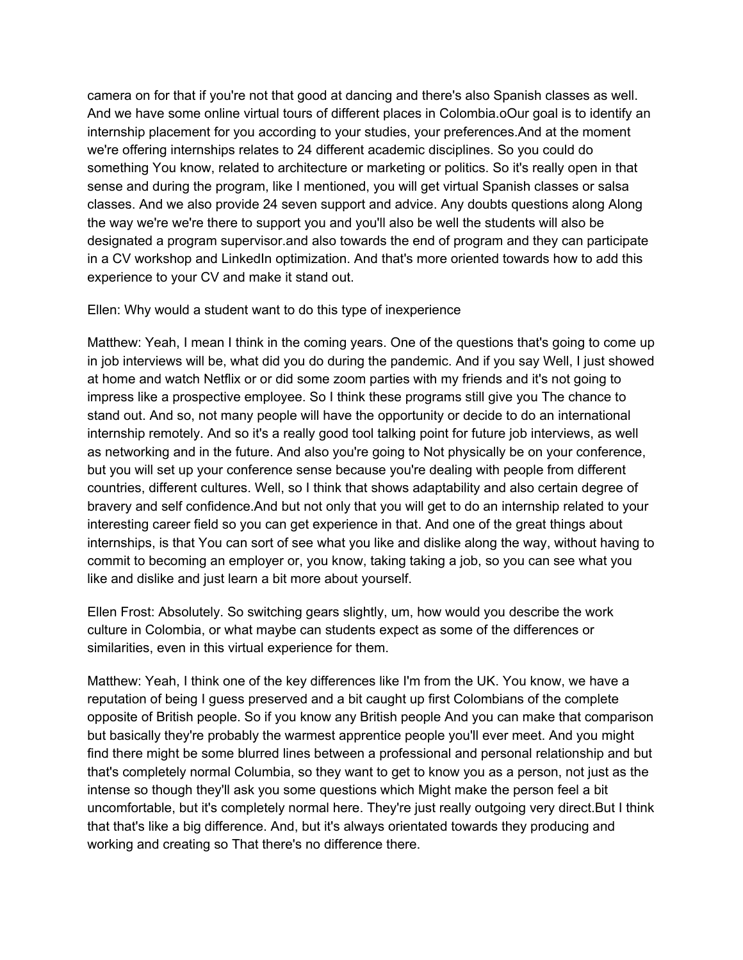camera on for that if you're not that good at dancing and there's also Spanish classes as well. And we have some online virtual tours of different places in Colombia.oOur goal is to identify an internship placement for you according to your studies, your preferences.And at the moment we're offering internships relates to 24 different academic disciplines. So you could do something You know, related to architecture or marketing or politics. So it's really open in that sense and during the program, like I mentioned, you will get virtual Spanish classes or salsa classes. And we also provide 24 seven support and advice. Any doubts questions along Along the way we're we're there to support you and you'll also be well the students will also be designated a program supervisor.and also towards the end of program and they can participate in a CV workshop and LinkedIn optimization. And that's more oriented towards how to add this experience to your CV and make it stand out.

Ellen: Why would a student want to do this type of inexperience

Matthew: Yeah, I mean I think in the coming years. One of the questions that's going to come up in job interviews will be, what did you do during the pandemic. And if you say Well, I just showed at home and watch Netflix or or did some zoom parties with my friends and it's not going to impress like a prospective employee. So I think these programs still give you The chance to stand out. And so, not many people will have the opportunity or decide to do an international internship remotely. And so it's a really good tool talking point for future job interviews, as well as networking and in the future. And also you're going to Not physically be on your conference, but you will set up your conference sense because you're dealing with people from different countries, different cultures. Well, so I think that shows adaptability and also certain degree of bravery and self confidence.And but not only that you will get to do an internship related to your interesting career field so you can get experience in that. And one of the great things about internships, is that You can sort of see what you like and dislike along the way, without having to commit to becoming an employer or, you know, taking taking a job, so you can see what you like and dislike and just learn a bit more about yourself.

Ellen Frost: Absolutely. So switching gears slightly, um, how would you describe the work culture in Colombia, or what maybe can students expect as some of the differences or similarities, even in this virtual experience for them.

Matthew: Yeah, I think one of the key differences like I'm from the UK. You know, we have a reputation of being I guess preserved and a bit caught up first Colombians of the complete opposite of British people. So if you know any British people And you can make that comparison but basically they're probably the warmest apprentice people you'll ever meet. And you might find there might be some blurred lines between a professional and personal relationship and but that's completely normal Columbia, so they want to get to know you as a person, not just as the intense so though they'll ask you some questions which Might make the person feel a bit uncomfortable, but it's completely normal here. They're just really outgoing very direct.But I think that that's like a big difference. And, but it's always orientated towards they producing and working and creating so That there's no difference there.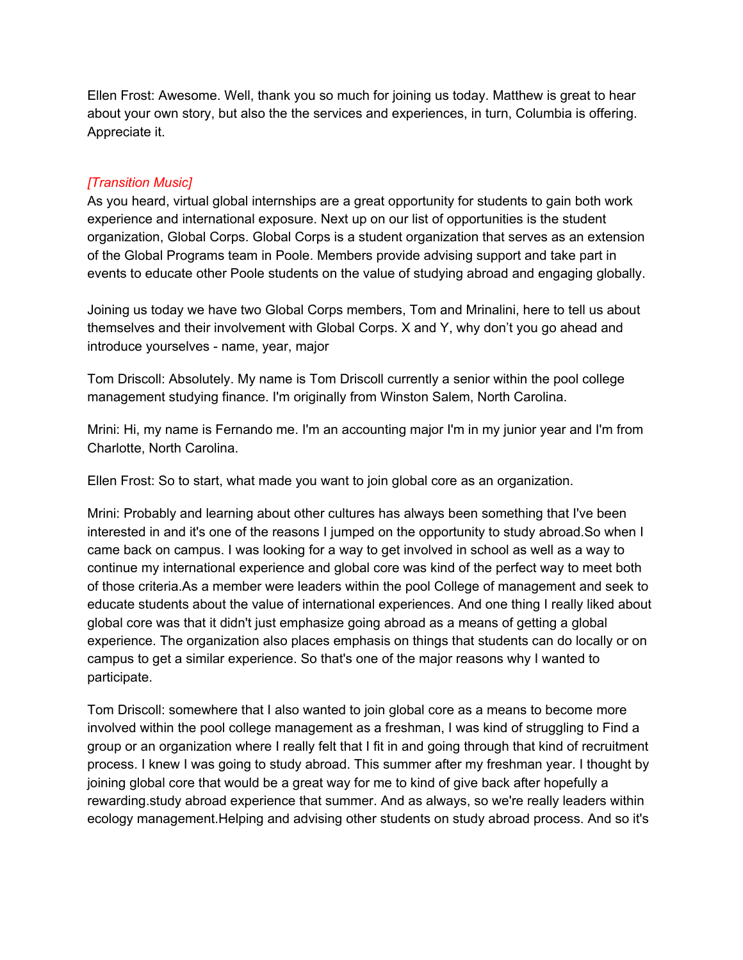Ellen Frost: Awesome. Well, thank you so much for joining us today. Matthew is great to hear about your own story, but also the the services and experiences, in turn, Columbia is offering. Appreciate it.

# *[Transition Music]*

As you heard, virtual global internships are a great opportunity for students to gain both work experience and international exposure. Next up on our list of opportunities is the student organization, Global Corps. Global Corps is a student organization that serves as an extension of the Global Programs team in Poole. Members provide advising support and take part in events to educate other Poole students on the value of studying abroad and engaging globally.

Joining us today we have two Global Corps members, Tom and Mrinalini, here to tell us about themselves and their involvement with Global Corps. X and Y, why don't you go ahead and introduce yourselves - name, year, major

Tom Driscoll: Absolutely. My name is Tom Driscoll currently a senior within the pool college management studying finance. I'm originally from Winston Salem, North Carolina.

Mrini: Hi, my name is Fernando me. I'm an accounting major I'm in my junior year and I'm from Charlotte, North Carolina.

Ellen Frost: So to start, what made you want to join global core as an organization.

Mrini: Probably and learning about other cultures has always been something that I've been interested in and it's one of the reasons I jumped on the opportunity to study abroad.So when I came back on campus. I was looking for a way to get involved in school as well as a way to continue my international experience and global core was kind of the perfect way to meet both of those criteria.As a member were leaders within the pool College of management and seek to educate students about the value of international experiences. And one thing I really liked about global core was that it didn't just emphasize going abroad as a means of getting a global experience. The organization also places emphasis on things that students can do locally or on campus to get a similar experience. So that's one of the major reasons why I wanted to participate.

Tom Driscoll: somewhere that I also wanted to join global core as a means to become more involved within the pool college management as a freshman, I was kind of struggling to Find a group or an organization where I really felt that I fit in and going through that kind of recruitment process. I knew I was going to study abroad. This summer after my freshman year. I thought by joining global core that would be a great way for me to kind of give back after hopefully a rewarding.study abroad experience that summer. And as always, so we're really leaders within ecology management.Helping and advising other students on study abroad process. And so it's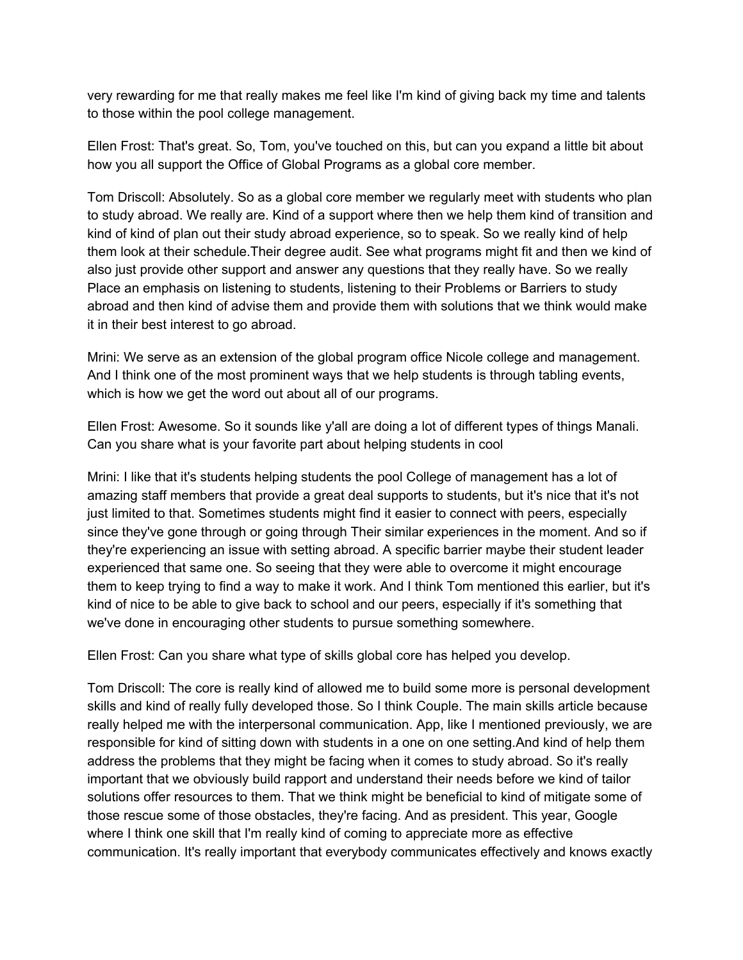very rewarding for me that really makes me feel like I'm kind of giving back my time and talents to those within the pool college management.

Ellen Frost: That's great. So, Tom, you've touched on this, but can you expand a little bit about how you all support the Office of Global Programs as a global core member.

Tom Driscoll: Absolutely. So as a global core member we regularly meet with students who plan to study abroad. We really are. Kind of a support where then we help them kind of transition and kind of kind of plan out their study abroad experience, so to speak. So we really kind of help them look at their schedule.Their degree audit. See what programs might fit and then we kind of also just provide other support and answer any questions that they really have. So we really Place an emphasis on listening to students, listening to their Problems or Barriers to study abroad and then kind of advise them and provide them with solutions that we think would make it in their best interest to go abroad.

Mrini: We serve as an extension of the global program office Nicole college and management. And I think one of the most prominent ways that we help students is through tabling events, which is how we get the word out about all of our programs.

Ellen Frost: Awesome. So it sounds like y'all are doing a lot of different types of things Manali. Can you share what is your favorite part about helping students in cool

Mrini: I like that it's students helping students the pool College of management has a lot of amazing staff members that provide a great deal supports to students, but it's nice that it's not just limited to that. Sometimes students might find it easier to connect with peers, especially since they've gone through or going through Their similar experiences in the moment. And so if they're experiencing an issue with setting abroad. A specific barrier maybe their student leader experienced that same one. So seeing that they were able to overcome it might encourage them to keep trying to find a way to make it work. And I think Tom mentioned this earlier, but it's kind of nice to be able to give back to school and our peers, especially if it's something that we've done in encouraging other students to pursue something somewhere.

Ellen Frost: Can you share what type of skills global core has helped you develop.

Tom Driscoll: The core is really kind of allowed me to build some more is personal development skills and kind of really fully developed those. So I think Couple. The main skills article because really helped me with the interpersonal communication. App, like I mentioned previously, we are responsible for kind of sitting down with students in a one on one setting.And kind of help them address the problems that they might be facing when it comes to study abroad. So it's really important that we obviously build rapport and understand their needs before we kind of tailor solutions offer resources to them. That we think might be beneficial to kind of mitigate some of those rescue some of those obstacles, they're facing. And as president. This year, Google where I think one skill that I'm really kind of coming to appreciate more as effective communication. It's really important that everybody communicates effectively and knows exactly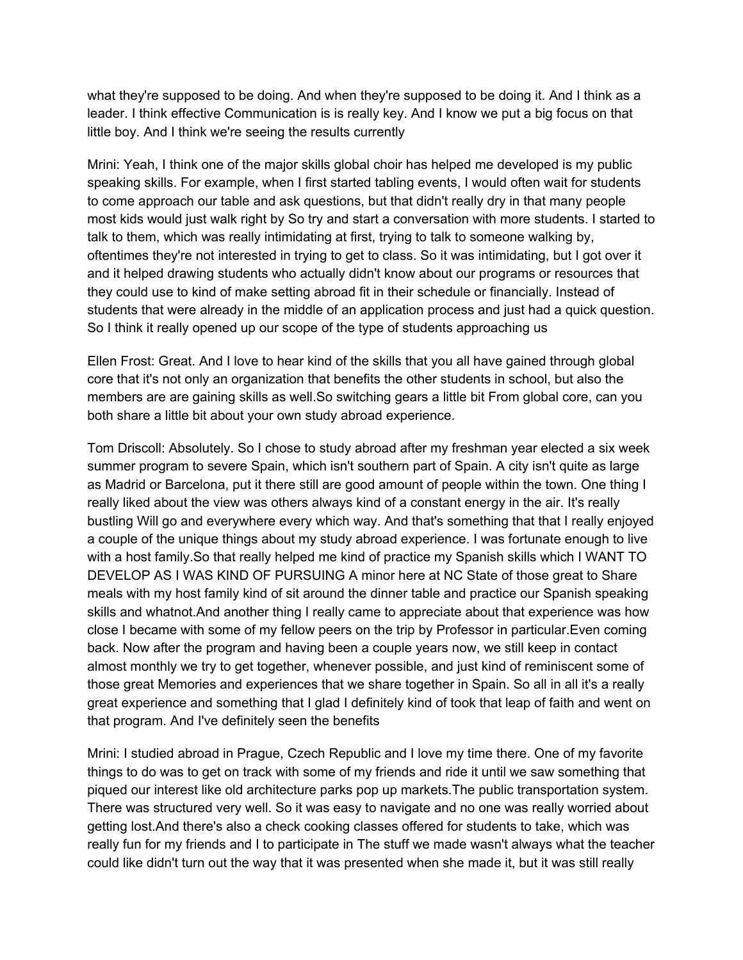what they're supposed to be doing. And when they're supposed to be doing it. And I think as a leader. I think effective Communication is is really key. And I know we put a big focus on that little boy. And I think we're seeing the results currently

Mrini: Yeah, I think one of the major skills global choir has helped me developed is my public speaking skills. For example, when I first started tabling events, I would often wait for students to come approach our table and ask questions, but that didn't really dry in that many people most kids would just walk right by So try and start a conversation with more students. I started to talk to them, which was really intimidating at first, trying to talk to someone walking by, oftentimes they're not interested in trying to get to class. So it was intimidating, but I got over it and it helped drawing students who actually didn't know about our programs or resources that they could use to kind of make setting abroad fit in their schedule or financially. Instead of students that were already in the middle of an application process and just had a quick question. So I think it really opened up our scope of the type of students approaching us

Ellen Frost: Great. And I love to hear kind of the skills that you all have gained through global core that it's not only an organization that benefits the other students in school, but also the members are are gaining skills as well.So switching gears a little bit From global core, can you both share a little bit about your own study abroad experience.

Tom Driscoll: Absolutely. So I chose to study abroad after my freshman year elected a six week summer program to severe Spain, which isn't southern part of Spain. A city isn't quite as large as Madrid or Barcelona, put it there still are good amount of people within the town. One thing I really liked about the view was others always kind of a constant energy in the air. It's really bustling Will go and everywhere every which way. And that's something that that I really enjoyed a couple of the unique things about my study abroad experience. I was fortunate enough to live with a host family.So that really helped me kind of practice my Spanish skills which I WANT TO DEVELOP AS I WAS KIND OF PURSUING A minor here at NC State of those great to Share meals with my host family kind of sit around the dinner table and practice our Spanish speaking skills and whatnot.And another thing I really came to appreciate about that experience was how close I became with some of my fellow peers on the trip by Professor in particular.Even coming back. Now after the program and having been a couple years now, we still keep in contact almost monthly we try to get together, whenever possible, and just kind of reminiscent some of those great Memories and experiences that we share together in Spain. So all in all it's a really great experience and something that I glad I definitely kind of took that leap of faith and went on that program. And I've definitely seen the benefits

Mrini: I studied abroad in Prague, Czech Republic and I love my time there. One of my favorite things to do was to get on track with some of my friends and ride it until we saw something that piqued our interest like old architecture parks pop up markets.The public transportation system. There was structured very well. So it was easy to navigate and no one was really worried about getting lost.And there's also a check cooking classes offered for students to take, which was really fun for my friends and I to participate in The stuff we made wasn't always what the teacher could like didn't turn out the way that it was presented when she made it, but it was still really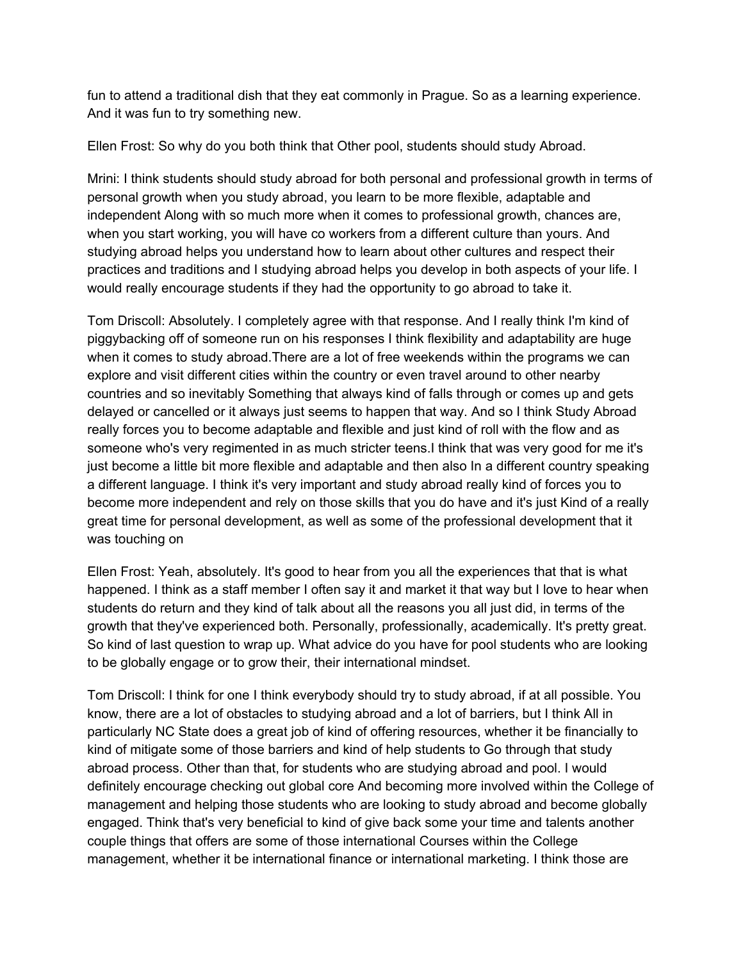fun to attend a traditional dish that they eat commonly in Prague. So as a learning experience. And it was fun to try something new.

Ellen Frost: So why do you both think that Other pool, students should study Abroad.

Mrini: I think students should study abroad for both personal and professional growth in terms of personal growth when you study abroad, you learn to be more flexible, adaptable and independent Along with so much more when it comes to professional growth, chances are, when you start working, you will have co workers from a different culture than yours. And studying abroad helps you understand how to learn about other cultures and respect their practices and traditions and I studying abroad helps you develop in both aspects of your life. I would really encourage students if they had the opportunity to go abroad to take it.

Tom Driscoll: Absolutely. I completely agree with that response. And I really think I'm kind of piggybacking off of someone run on his responses I think flexibility and adaptability are huge when it comes to study abroad.There are a lot of free weekends within the programs we can explore and visit different cities within the country or even travel around to other nearby countries and so inevitably Something that always kind of falls through or comes up and gets delayed or cancelled or it always just seems to happen that way. And so I think Study Abroad really forces you to become adaptable and flexible and just kind of roll with the flow and as someone who's very regimented in as much stricter teens.I think that was very good for me it's just become a little bit more flexible and adaptable and then also In a different country speaking a different language. I think it's very important and study abroad really kind of forces you to become more independent and rely on those skills that you do have and it's just Kind of a really great time for personal development, as well as some of the professional development that it was touching on

Ellen Frost: Yeah, absolutely. It's good to hear from you all the experiences that that is what happened. I think as a staff member I often say it and market it that way but I love to hear when students do return and they kind of talk about all the reasons you all just did, in terms of the growth that they've experienced both. Personally, professionally, academically. It's pretty great. So kind of last question to wrap up. What advice do you have for pool students who are looking to be globally engage or to grow their, their international mindset.

Tom Driscoll: I think for one I think everybody should try to study abroad, if at all possible. You know, there are a lot of obstacles to studying abroad and a lot of barriers, but I think All in particularly NC State does a great job of kind of offering resources, whether it be financially to kind of mitigate some of those barriers and kind of help students to Go through that study abroad process. Other than that, for students who are studying abroad and pool. I would definitely encourage checking out global core And becoming more involved within the College of management and helping those students who are looking to study abroad and become globally engaged. Think that's very beneficial to kind of give back some your time and talents another couple things that offers are some of those international Courses within the College management, whether it be international finance or international marketing. I think those are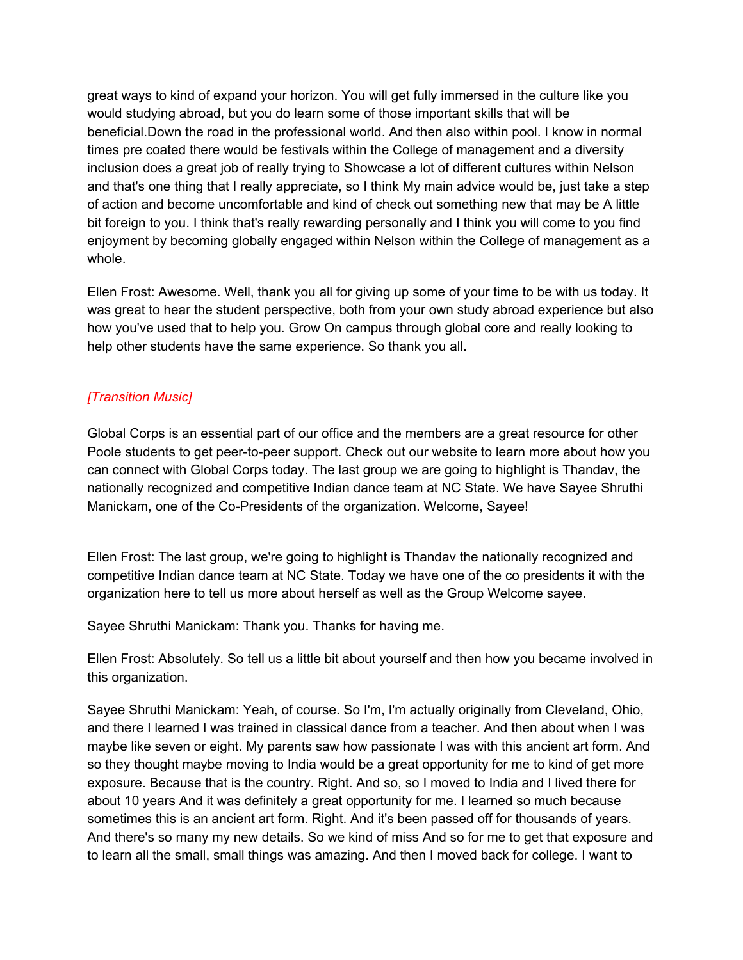great ways to kind of expand your horizon. You will get fully immersed in the culture like you would studying abroad, but you do learn some of those important skills that will be beneficial.Down the road in the professional world. And then also within pool. I know in normal times pre coated there would be festivals within the College of management and a diversity inclusion does a great job of really trying to Showcase a lot of different cultures within Nelson and that's one thing that I really appreciate, so I think My main advice would be, just take a step of action and become uncomfortable and kind of check out something new that may be A little bit foreign to you. I think that's really rewarding personally and I think you will come to you find enjoyment by becoming globally engaged within Nelson within the College of management as a whole.

Ellen Frost: Awesome. Well, thank you all for giving up some of your time to be with us today. It was great to hear the student perspective, both from your own study abroad experience but also how you've used that to help you. Grow On campus through global core and really looking to help other students have the same experience. So thank you all.

# *[Transition Music]*

Global Corps is an essential part of our office and the members are a great resource for other Poole students to get peer-to-peer support. Check out our website to learn more about how you can connect with Global Corps today. The last group we are going to highlight is Thandav, the nationally recognized and competitive Indian dance team at NC State. We have Sayee Shruthi Manickam, one of the Co-Presidents of the organization. Welcome, Sayee!

Ellen Frost: The last group, we're going to highlight is Thandav the nationally recognized and competitive Indian dance team at NC State. Today we have one of the co presidents it with the organization here to tell us more about herself as well as the Group Welcome sayee.

Sayee Shruthi Manickam: Thank you. Thanks for having me.

Ellen Frost: Absolutely. So tell us a little bit about yourself and then how you became involved in this organization.

Sayee Shruthi Manickam: Yeah, of course. So I'm, I'm actually originally from Cleveland, Ohio, and there I learned I was trained in classical dance from a teacher. And then about when I was maybe like seven or eight. My parents saw how passionate I was with this ancient art form. And so they thought maybe moving to India would be a great opportunity for me to kind of get more exposure. Because that is the country. Right. And so, so I moved to India and I lived there for about 10 years And it was definitely a great opportunity for me. I learned so much because sometimes this is an ancient art form. Right. And it's been passed off for thousands of years. And there's so many my new details. So we kind of miss And so for me to get that exposure and to learn all the small, small things was amazing. And then I moved back for college. I want to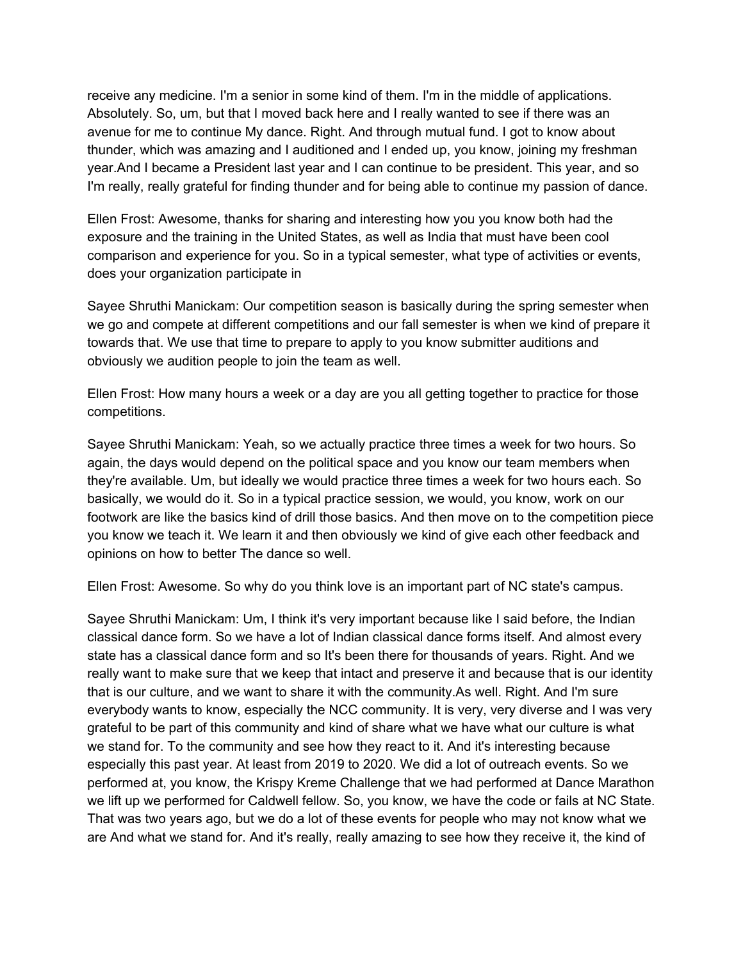receive any medicine. I'm a senior in some kind of them. I'm in the middle of applications. Absolutely. So, um, but that I moved back here and I really wanted to see if there was an avenue for me to continue My dance. Right. And through mutual fund. I got to know about thunder, which was amazing and I auditioned and I ended up, you know, joining my freshman year.And I became a President last year and I can continue to be president. This year, and so I'm really, really grateful for finding thunder and for being able to continue my passion of dance.

Ellen Frost: Awesome, thanks for sharing and interesting how you you know both had the exposure and the training in the United States, as well as India that must have been cool comparison and experience for you. So in a typical semester, what type of activities or events, does your organization participate in

Sayee Shruthi Manickam: Our competition season is basically during the spring semester when we go and compete at different competitions and our fall semester is when we kind of prepare it towards that. We use that time to prepare to apply to you know submitter auditions and obviously we audition people to join the team as well.

Ellen Frost: How many hours a week or a day are you all getting together to practice for those competitions.

Sayee Shruthi Manickam: Yeah, so we actually practice three times a week for two hours. So again, the days would depend on the political space and you know our team members when they're available. Um, but ideally we would practice three times a week for two hours each. So basically, we would do it. So in a typical practice session, we would, you know, work on our footwork are like the basics kind of drill those basics. And then move on to the competition piece you know we teach it. We learn it and then obviously we kind of give each other feedback and opinions on how to better The dance so well.

Ellen Frost: Awesome. So why do you think love is an important part of NC state's campus.

Sayee Shruthi Manickam: Um, I think it's very important because like I said before, the Indian classical dance form. So we have a lot of Indian classical dance forms itself. And almost every state has a classical dance form and so It's been there for thousands of years. Right. And we really want to make sure that we keep that intact and preserve it and because that is our identity that is our culture, and we want to share it with the community.As well. Right. And I'm sure everybody wants to know, especially the NCC community. It is very, very diverse and I was very grateful to be part of this community and kind of share what we have what our culture is what we stand for. To the community and see how they react to it. And it's interesting because especially this past year. At least from 2019 to 2020. We did a lot of outreach events. So we performed at, you know, the Krispy Kreme Challenge that we had performed at Dance Marathon we lift up we performed for Caldwell fellow. So, you know, we have the code or fails at NC State. That was two years ago, but we do a lot of these events for people who may not know what we are And what we stand for. And it's really, really amazing to see how they receive it, the kind of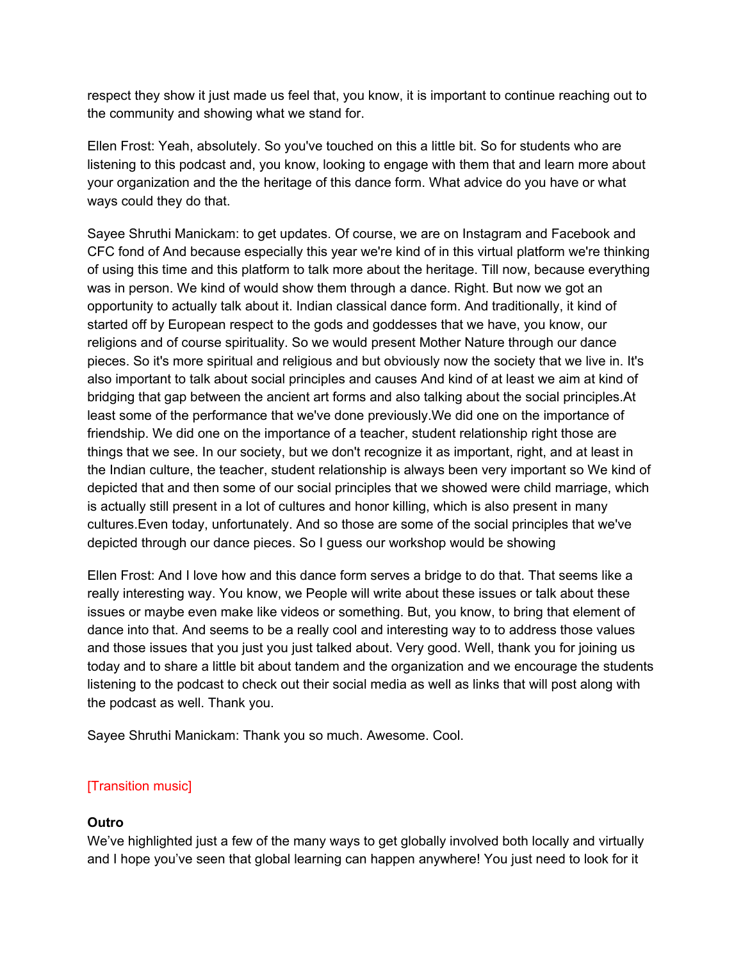respect they show it just made us feel that, you know, it is important to continue reaching out to the community and showing what we stand for.

Ellen Frost: Yeah, absolutely. So you've touched on this a little bit. So for students who are listening to this podcast and, you know, looking to engage with them that and learn more about your organization and the the heritage of this dance form. What advice do you have or what ways could they do that.

Sayee Shruthi Manickam: to get updates. Of course, we are on Instagram and Facebook and CFC fond of And because especially this year we're kind of in this virtual platform we're thinking of using this time and this platform to talk more about the heritage. Till now, because everything was in person. We kind of would show them through a dance. Right. But now we got an opportunity to actually talk about it. Indian classical dance form. And traditionally, it kind of started off by European respect to the gods and goddesses that we have, you know, our religions and of course spirituality. So we would present Mother Nature through our dance pieces. So it's more spiritual and religious and but obviously now the society that we live in. It's also important to talk about social principles and causes And kind of at least we aim at kind of bridging that gap between the ancient art forms and also talking about the social principles.At least some of the performance that we've done previously.We did one on the importance of friendship. We did one on the importance of a teacher, student relationship right those are things that we see. In our society, but we don't recognize it as important, right, and at least in the Indian culture, the teacher, student relationship is always been very important so We kind of depicted that and then some of our social principles that we showed were child marriage, which is actually still present in a lot of cultures and honor killing, which is also present in many cultures.Even today, unfortunately. And so those are some of the social principles that we've depicted through our dance pieces. So I guess our workshop would be showing

Ellen Frost: And I love how and this dance form serves a bridge to do that. That seems like a really interesting way. You know, we People will write about these issues or talk about these issues or maybe even make like videos or something. But, you know, to bring that element of dance into that. And seems to be a really cool and interesting way to to address those values and those issues that you just you just talked about. Very good. Well, thank you for joining us today and to share a little bit about tandem and the organization and we encourage the students listening to the podcast to check out their social media as well as links that will post along with the podcast as well. Thank you.

Sayee Shruthi Manickam: Thank you so much. Awesome. Cool.

# [Transition music]

## **Outro**

We've highlighted just a few of the many ways to get globally involved both locally and virtually and I hope you've seen that global learning can happen anywhere! You just need to look for it